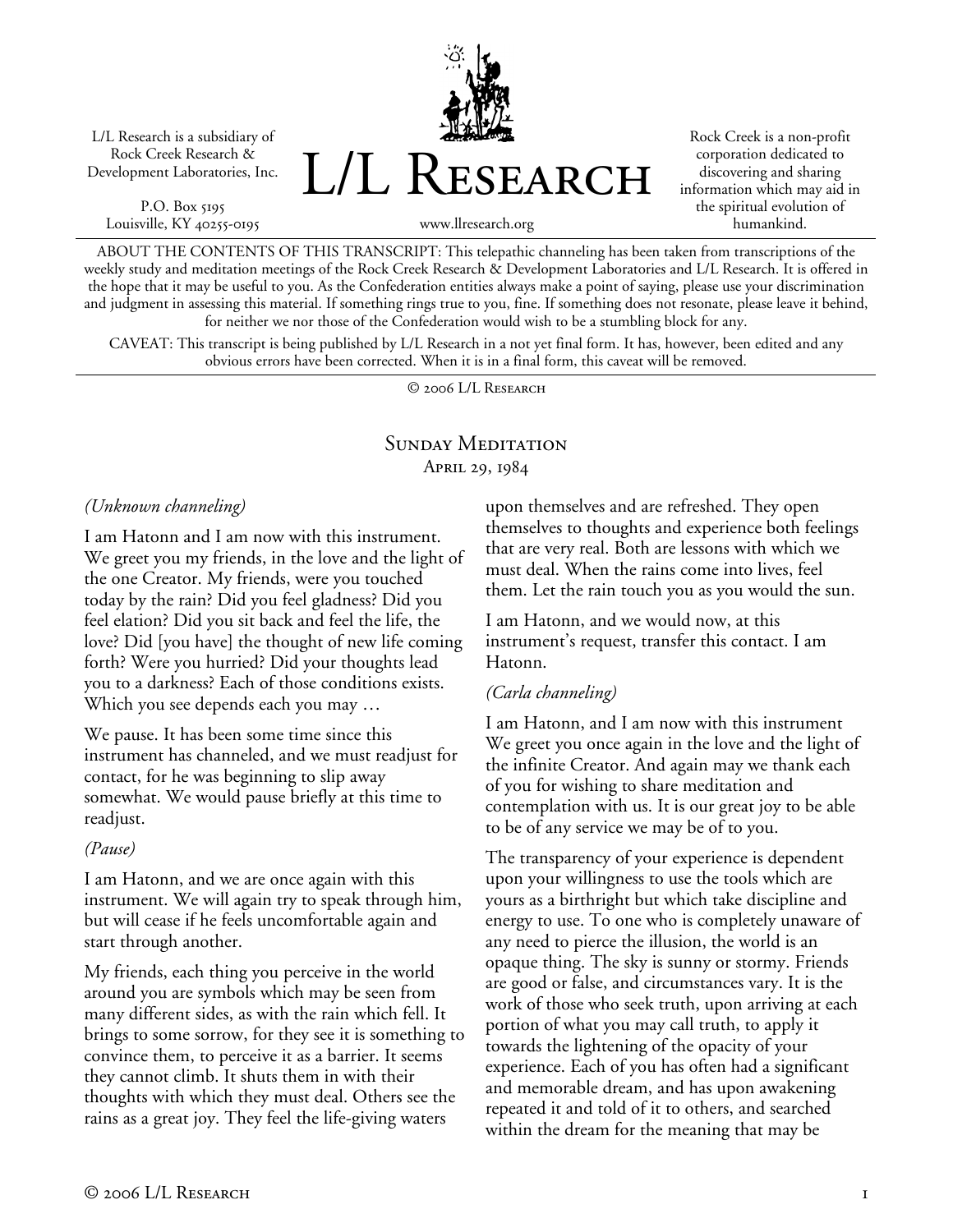L/L Research is a subsidiary of Rock Creek Research & Development Laboratories, Inc.

P.O. Box 5195 Louisville, KY 40255-0195 L/L Research

Rock Creek is a non-profit corporation dedicated to discovering and sharing information which may aid in the spiritual evolution of humankind.

www.llresearch.org

ABOUT THE CONTENTS OF THIS TRANSCRIPT: This telepathic channeling has been taken from transcriptions of the weekly study and meditation meetings of the Rock Creek Research & Development Laboratories and L/L Research. It is offered in the hope that it may be useful to you. As the Confederation entities always make a point of saying, please use your discrimination and judgment in assessing this material. If something rings true to you, fine. If something does not resonate, please leave it behind, for neither we nor those of the Confederation would wish to be a stumbling block for any.

CAVEAT: This transcript is being published by L/L Research in a not yet final form. It has, however, been edited and any obvious errors have been corrected. When it is in a final form, this caveat will be removed.

© 2006 L/L Research

# SUNDAY MEDITATION April 29, 1984

*(Unknown channeling)* 

I am Hatonn and I am now with this instrument. We greet you my friends, in the love and the light of the one Creator. My friends, were you touched today by the rain? Did you feel gladness? Did you feel elation? Did you sit back and feel the life, the love? Did [you have] the thought of new life coming forth? Were you hurried? Did your thoughts lead you to a darkness? Each of those conditions exists. Which you see depends each you may …

We pause. It has been some time since this instrument has channeled, and we must readjust for contact, for he was beginning to slip away somewhat. We would pause briefly at this time to readjust.

## *(Pause)*

I am Hatonn, and we are once again with this instrument. We will again try to speak through him, but will cease if he feels uncomfortable again and start through another.

My friends, each thing you perceive in the world around you are symbols which may be seen from many different sides, as with the rain which fell. It brings to some sorrow, for they see it is something to convince them, to perceive it as a barrier. It seems they cannot climb. It shuts them in with their thoughts with which they must deal. Others see the rains as a great joy. They feel the life-giving waters

upon themselves and are refreshed. They open themselves to thoughts and experience both feelings that are very real. Both are lessons with which we must deal. When the rains come into lives, feel them. Let the rain touch you as you would the sun.

I am Hatonn, and we would now, at this instrument's request, transfer this contact. I am Hatonn.

## *(Carla channeling)*

I am Hatonn, and I am now with this instrument We greet you once again in the love and the light of the infinite Creator. And again may we thank each of you for wishing to share meditation and contemplation with us. It is our great joy to be able to be of any service we may be of to you.

The transparency of your experience is dependent upon your willingness to use the tools which are yours as a birthright but which take discipline and energy to use. To one who is completely unaware of any need to pierce the illusion, the world is an opaque thing. The sky is sunny or stormy. Friends are good or false, and circumstances vary. It is the work of those who seek truth, upon arriving at each portion of what you may call truth, to apply it towards the lightening of the opacity of your experience. Each of you has often had a significant and memorable dream, and has upon awakening repeated it and told of it to others, and searched within the dream for the meaning that may be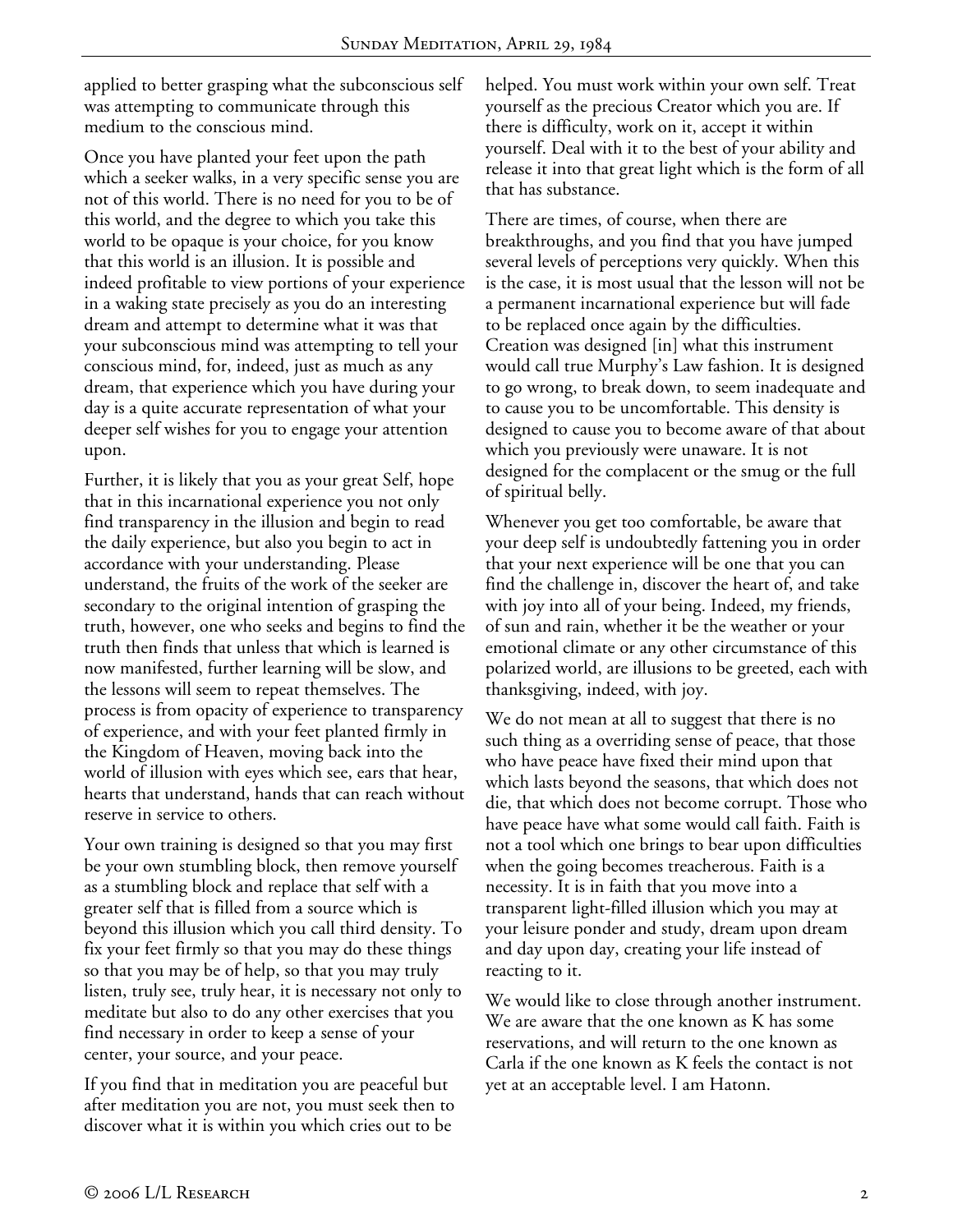applied to better grasping what the subconscious self was attempting to communicate through this medium to the conscious mind.

Once you have planted your feet upon the path which a seeker walks, in a very specific sense you are not of this world. There is no need for you to be of this world, and the degree to which you take this world to be opaque is your choice, for you know that this world is an illusion. It is possible and indeed profitable to view portions of your experience in a waking state precisely as you do an interesting dream and attempt to determine what it was that your subconscious mind was attempting to tell your conscious mind, for, indeed, just as much as any dream, that experience which you have during your day is a quite accurate representation of what your deeper self wishes for you to engage your attention upon.

Further, it is likely that you as your great Self, hope that in this incarnational experience you not only find transparency in the illusion and begin to read the daily experience, but also you begin to act in accordance with your understanding. Please understand, the fruits of the work of the seeker are secondary to the original intention of grasping the truth, however, one who seeks and begins to find the truth then finds that unless that which is learned is now manifested, further learning will be slow, and the lessons will seem to repeat themselves. The process is from opacity of experience to transparency of experience, and with your feet planted firmly in the Kingdom of Heaven, moving back into the world of illusion with eyes which see, ears that hear, hearts that understand, hands that can reach without reserve in service to others.

Your own training is designed so that you may first be your own stumbling block, then remove yourself as a stumbling block and replace that self with a greater self that is filled from a source which is beyond this illusion which you call third density. To fix your feet firmly so that you may do these things so that you may be of help, so that you may truly listen, truly see, truly hear, it is necessary not only to meditate but also to do any other exercises that you find necessary in order to keep a sense of your center, your source, and your peace.

If you find that in meditation you are peaceful but after meditation you are not, you must seek then to discover what it is within you which cries out to be

helped. You must work within your own self. Treat yourself as the precious Creator which you are. If there is difficulty, work on it, accept it within yourself. Deal with it to the best of your ability and release it into that great light which is the form of all that has substance.

There are times, of course, when there are breakthroughs, and you find that you have jumped several levels of perceptions very quickly. When this is the case, it is most usual that the lesson will not be a permanent incarnational experience but will fade to be replaced once again by the difficulties. Creation was designed [in] what this instrument would call true Murphy's Law fashion. It is designed to go wrong, to break down, to seem inadequate and to cause you to be uncomfortable. This density is designed to cause you to become aware of that about which you previously were unaware. It is not designed for the complacent or the smug or the full of spiritual belly.

Whenever you get too comfortable, be aware that your deep self is undoubtedly fattening you in order that your next experience will be one that you can find the challenge in, discover the heart of, and take with joy into all of your being. Indeed, my friends, of sun and rain, whether it be the weather or your emotional climate or any other circumstance of this polarized world, are illusions to be greeted, each with thanksgiving, indeed, with joy.

We do not mean at all to suggest that there is no such thing as a overriding sense of peace, that those who have peace have fixed their mind upon that which lasts beyond the seasons, that which does not die, that which does not become corrupt. Those who have peace have what some would call faith. Faith is not a tool which one brings to bear upon difficulties when the going becomes treacherous. Faith is a necessity. It is in faith that you move into a transparent light-filled illusion which you may at your leisure ponder and study, dream upon dream and day upon day, creating your life instead of reacting to it.

We would like to close through another instrument. We are aware that the one known as K has some reservations, and will return to the one known as Carla if the one known as K feels the contact is not yet at an acceptable level. I am Hatonn.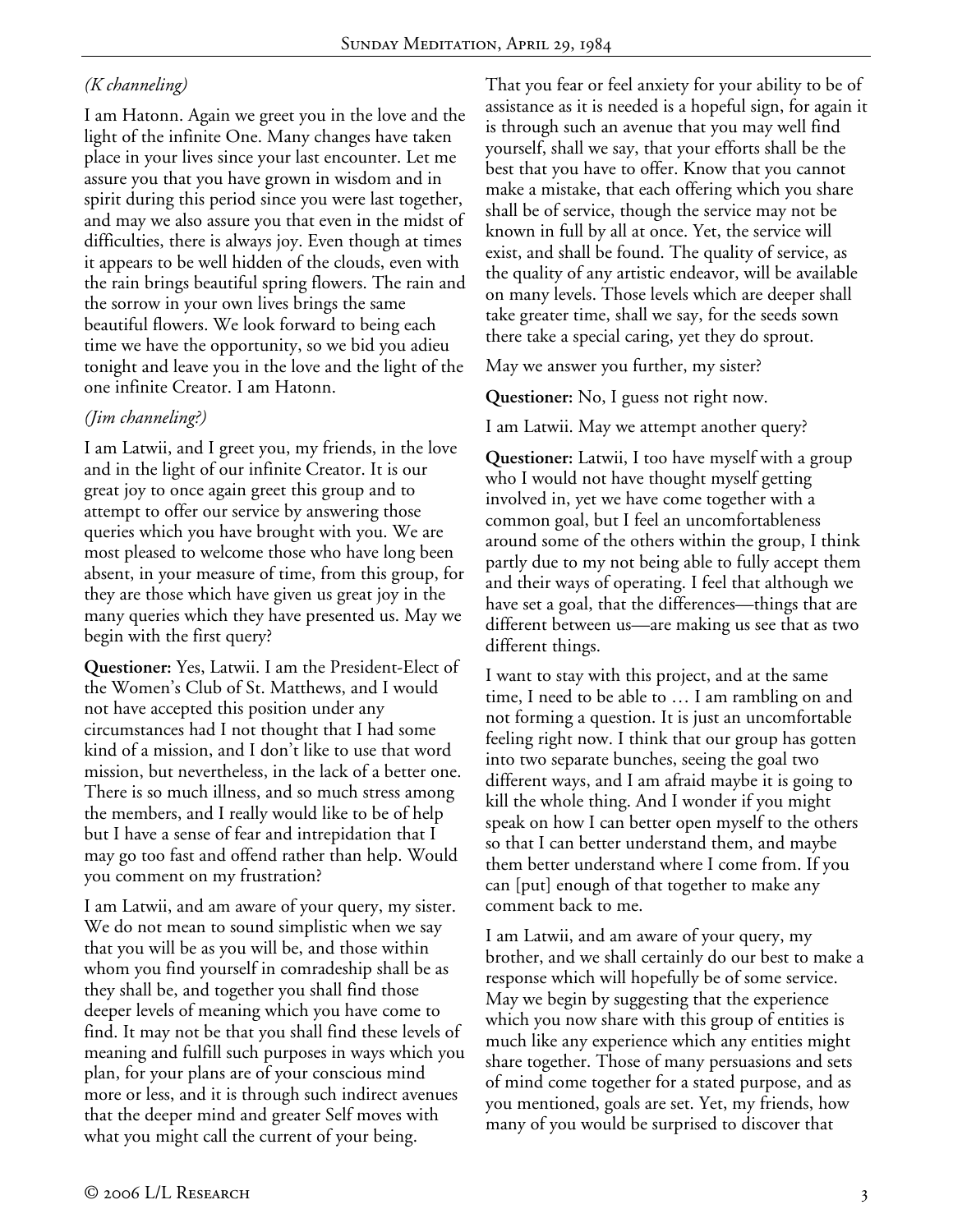# *(K channeling)*

I am Hatonn. Again we greet you in the love and the light of the infinite One. Many changes have taken place in your lives since your last encounter. Let me assure you that you have grown in wisdom and in spirit during this period since you were last together, and may we also assure you that even in the midst of difficulties, there is always joy. Even though at times it appears to be well hidden of the clouds, even with the rain brings beautiful spring flowers. The rain and the sorrow in your own lives brings the same beautiful flowers. We look forward to being each time we have the opportunity, so we bid you adieu tonight and leave you in the love and the light of the one infinite Creator. I am Hatonn.

# *(Jim channeling?)*

I am Latwii, and I greet you, my friends, in the love and in the light of our infinite Creator. It is our great joy to once again greet this group and to attempt to offer our service by answering those queries which you have brought with you. We are most pleased to welcome those who have long been absent, in your measure of time, from this group, for they are those which have given us great joy in the many queries which they have presented us. May we begin with the first query?

**Questioner:** Yes, Latwii. I am the President-Elect of the Women's Club of St. Matthews, and I would not have accepted this position under any circumstances had I not thought that I had some kind of a mission, and I don't like to use that word mission, but nevertheless, in the lack of a better one. There is so much illness, and so much stress among the members, and I really would like to be of help but I have a sense of fear and intrepidation that I may go too fast and offend rather than help. Would you comment on my frustration?

I am Latwii, and am aware of your query, my sister. We do not mean to sound simplistic when we say that you will be as you will be, and those within whom you find yourself in comradeship shall be as they shall be, and together you shall find those deeper levels of meaning which you have come to find. It may not be that you shall find these levels of meaning and fulfill such purposes in ways which you plan, for your plans are of your conscious mind more or less, and it is through such indirect avenues that the deeper mind and greater Self moves with what you might call the current of your being.

That you fear or feel anxiety for your ability to be of assistance as it is needed is a hopeful sign, for again it is through such an avenue that you may well find yourself, shall we say, that your efforts shall be the best that you have to offer. Know that you cannot make a mistake, that each offering which you share shall be of service, though the service may not be known in full by all at once. Yet, the service will exist, and shall be found. The quality of service, as the quality of any artistic endeavor, will be available on many levels. Those levels which are deeper shall take greater time, shall we say, for the seeds sown there take a special caring, yet they do sprout.

May we answer you further, my sister?

**Questioner:** No, I guess not right now.

I am Latwii. May we attempt another query?

**Questioner:** Latwii, I too have myself with a group who I would not have thought myself getting involved in, yet we have come together with a common goal, but I feel an uncomfortableness around some of the others within the group, I think partly due to my not being able to fully accept them and their ways of operating. I feel that although we have set a goal, that the differences—things that are different between us—are making us see that as two different things.

I want to stay with this project, and at the same time, I need to be able to … I am rambling on and not forming a question. It is just an uncomfortable feeling right now. I think that our group has gotten into two separate bunches, seeing the goal two different ways, and I am afraid maybe it is going to kill the whole thing. And I wonder if you might speak on how I can better open myself to the others so that I can better understand them, and maybe them better understand where I come from. If you can [put] enough of that together to make any comment back to me.

I am Latwii, and am aware of your query, my brother, and we shall certainly do our best to make a response which will hopefully be of some service. May we begin by suggesting that the experience which you now share with this group of entities is much like any experience which any entities might share together. Those of many persuasions and sets of mind come together for a stated purpose, and as you mentioned, goals are set. Yet, my friends, how many of you would be surprised to discover that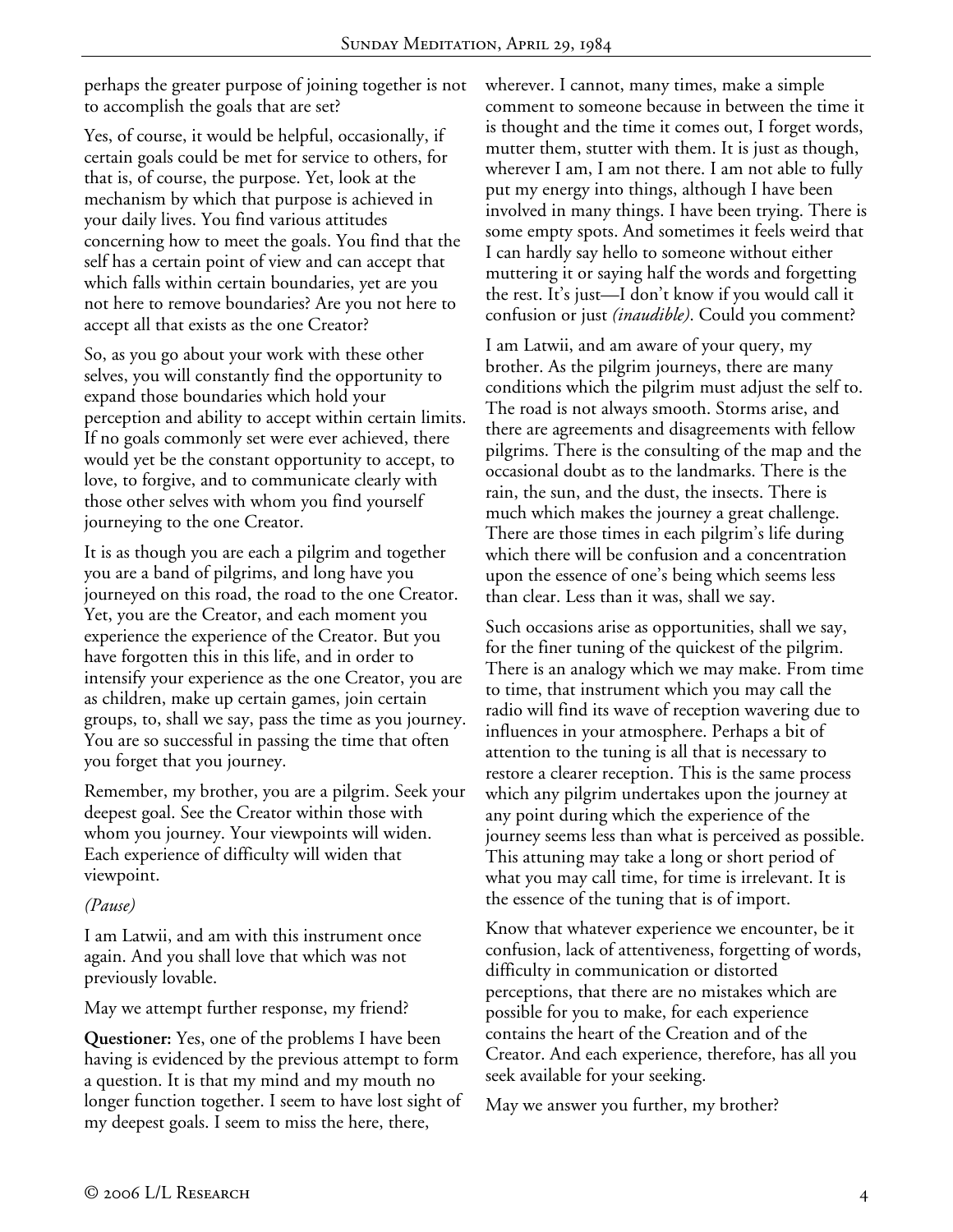perhaps the greater purpose of joining together is not to accomplish the goals that are set?

Yes, of course, it would be helpful, occasionally, if certain goals could be met for service to others, for that is, of course, the purpose. Yet, look at the mechanism by which that purpose is achieved in your daily lives. You find various attitudes concerning how to meet the goals. You find that the self has a certain point of view and can accept that which falls within certain boundaries, yet are you not here to remove boundaries? Are you not here to accept all that exists as the one Creator?

So, as you go about your work with these other selves, you will constantly find the opportunity to expand those boundaries which hold your perception and ability to accept within certain limits. If no goals commonly set were ever achieved, there would yet be the constant opportunity to accept, to love, to forgive, and to communicate clearly with those other selves with whom you find yourself journeying to the one Creator.

It is as though you are each a pilgrim and together you are a band of pilgrims, and long have you journeyed on this road, the road to the one Creator. Yet, you are the Creator, and each moment you experience the experience of the Creator. But you have forgotten this in this life, and in order to intensify your experience as the one Creator, you are as children, make up certain games, join certain groups, to, shall we say, pass the time as you journey. You are so successful in passing the time that often you forget that you journey.

Remember, my brother, you are a pilgrim. Seek your deepest goal. See the Creator within those with whom you journey. Your viewpoints will widen. Each experience of difficulty will widen that viewpoint.

## *(Pause)*

I am Latwii, and am with this instrument once again. And you shall love that which was not previously lovable.

May we attempt further response, my friend?

**Questioner:** Yes, one of the problems I have been having is evidenced by the previous attempt to form a question. It is that my mind and my mouth no longer function together. I seem to have lost sight of my deepest goals. I seem to miss the here, there,

wherever. I cannot, many times, make a simple comment to someone because in between the time it is thought and the time it comes out, I forget words, mutter them, stutter with them. It is just as though, wherever I am, I am not there. I am not able to fully put my energy into things, although I have been involved in many things. I have been trying. There is some empty spots. And sometimes it feels weird that I can hardly say hello to someone without either muttering it or saying half the words and forgetting the rest. It's just—I don't know if you would call it confusion or just *(inaudible)*. Could you comment?

I am Latwii, and am aware of your query, my brother. As the pilgrim journeys, there are many conditions which the pilgrim must adjust the self to. The road is not always smooth. Storms arise, and there are agreements and disagreements with fellow pilgrims. There is the consulting of the map and the occasional doubt as to the landmarks. There is the rain, the sun, and the dust, the insects. There is much which makes the journey a great challenge. There are those times in each pilgrim's life during which there will be confusion and a concentration upon the essence of one's being which seems less than clear. Less than it was, shall we say.

Such occasions arise as opportunities, shall we say, for the finer tuning of the quickest of the pilgrim. There is an analogy which we may make. From time to time, that instrument which you may call the radio will find its wave of reception wavering due to influences in your atmosphere. Perhaps a bit of attention to the tuning is all that is necessary to restore a clearer reception. This is the same process which any pilgrim undertakes upon the journey at any point during which the experience of the journey seems less than what is perceived as possible. This attuning may take a long or short period of what you may call time, for time is irrelevant. It is the essence of the tuning that is of import.

Know that whatever experience we encounter, be it confusion, lack of attentiveness, forgetting of words, difficulty in communication or distorted perceptions, that there are no mistakes which are possible for you to make, for each experience contains the heart of the Creation and of the Creator. And each experience, therefore, has all you seek available for your seeking.

May we answer you further, my brother?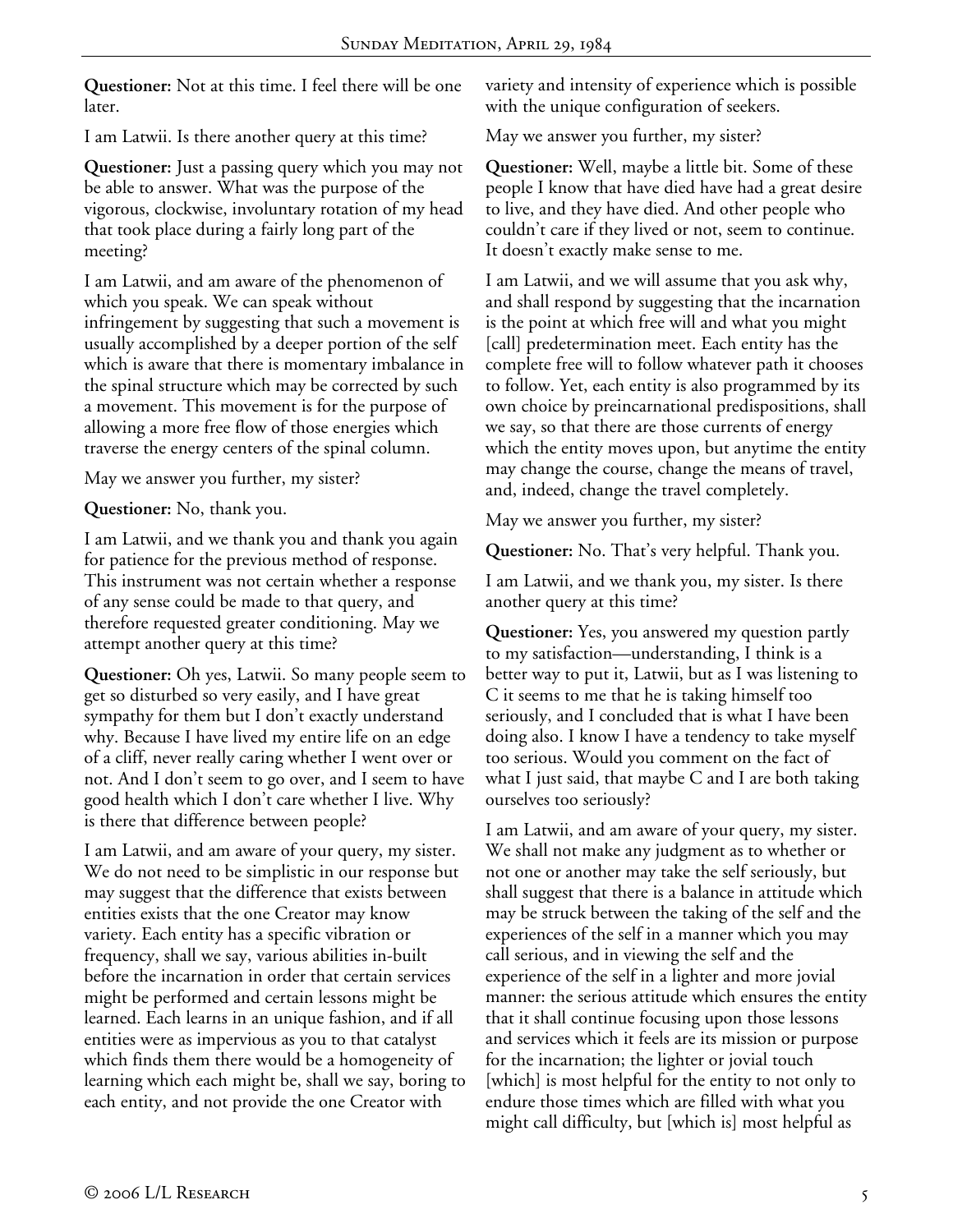**Questioner:** Not at this time. I feel there will be one later.

I am Latwii. Is there another query at this time?

**Questioner:** Just a passing query which you may not be able to answer. What was the purpose of the vigorous, clockwise, involuntary rotation of my head that took place during a fairly long part of the meeting?

I am Latwii, and am aware of the phenomenon of which you speak. We can speak without infringement by suggesting that such a movement is usually accomplished by a deeper portion of the self which is aware that there is momentary imbalance in the spinal structure which may be corrected by such a movement. This movement is for the purpose of allowing a more free flow of those energies which traverse the energy centers of the spinal column.

May we answer you further, my sister?

**Questioner:** No, thank you.

I am Latwii, and we thank you and thank you again for patience for the previous method of response. This instrument was not certain whether a response of any sense could be made to that query, and therefore requested greater conditioning. May we attempt another query at this time?

**Questioner:** Oh yes, Latwii. So many people seem to get so disturbed so very easily, and I have great sympathy for them but I don't exactly understand why. Because I have lived my entire life on an edge of a cliff, never really caring whether I went over or not. And I don't seem to go over, and I seem to have good health which I don't care whether I live. Why is there that difference between people?

I am Latwii, and am aware of your query, my sister. We do not need to be simplistic in our response but may suggest that the difference that exists between entities exists that the one Creator may know variety. Each entity has a specific vibration or frequency, shall we say, various abilities in-built before the incarnation in order that certain services might be performed and certain lessons might be learned. Each learns in an unique fashion, and if all entities were as impervious as you to that catalyst which finds them there would be a homogeneity of learning which each might be, shall we say, boring to each entity, and not provide the one Creator with

variety and intensity of experience which is possible with the unique configuration of seekers.

May we answer you further, my sister?

**Questioner:** Well, maybe a little bit. Some of these people I know that have died have had a great desire to live, and they have died. And other people who couldn't care if they lived or not, seem to continue. It doesn't exactly make sense to me.

I am Latwii, and we will assume that you ask why, and shall respond by suggesting that the incarnation is the point at which free will and what you might [call] predetermination meet. Each entity has the complete free will to follow whatever path it chooses to follow. Yet, each entity is also programmed by its own choice by preincarnational predispositions, shall we say, so that there are those currents of energy which the entity moves upon, but anytime the entity may change the course, change the means of travel, and, indeed, change the travel completely.

May we answer you further, my sister?

**Questioner:** No. That's very helpful. Thank you.

I am Latwii, and we thank you, my sister. Is there another query at this time?

**Questioner:** Yes, you answered my question partly to my satisfaction—understanding, I think is a better way to put it, Latwii, but as I was listening to C it seems to me that he is taking himself too seriously, and I concluded that is what I have been doing also. I know I have a tendency to take myself too serious. Would you comment on the fact of what I just said, that maybe C and I are both taking ourselves too seriously?

I am Latwii, and am aware of your query, my sister. We shall not make any judgment as to whether or not one or another may take the self seriously, but shall suggest that there is a balance in attitude which may be struck between the taking of the self and the experiences of the self in a manner which you may call serious, and in viewing the self and the experience of the self in a lighter and more jovial manner: the serious attitude which ensures the entity that it shall continue focusing upon those lessons and services which it feels are its mission or purpose for the incarnation; the lighter or jovial touch [which] is most helpful for the entity to not only to endure those times which are filled with what you might call difficulty, but [which is] most helpful as